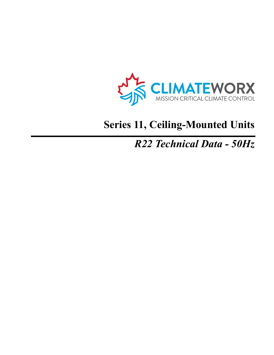

# **Series 11, Ceiling-Mounted Units**

# *R22 Technical Data - 50Hz*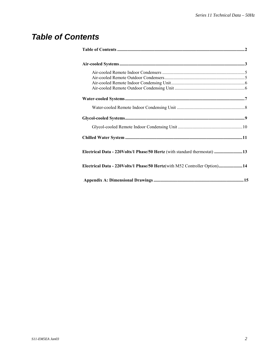### *Table of Contents*

| Electrical Data - 220Volts/1 Phase/50 Hertz (with standard thermostat) 13 |  |
|---------------------------------------------------------------------------|--|
| Electrical Data - 220Volts/1 Phase/50 Hertz(with M52 Controller Option)14 |  |
|                                                                           |  |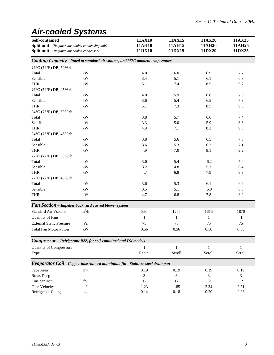## *Air-cooled Systems*

| Self-contained<br><b>Split unit</b> - (Requires air-cooled condensing unit)<br><b>Split unit</b> - (Requires air-cooled condenser) |                                                                                 | 11AX10<br>11AH10<br>11DX10 | 11AX15<br>11AH15<br>11DX15 | 11AX20<br>11AH20<br>11DX20 | 11AX25<br>11AH25<br>11DX25 |
|------------------------------------------------------------------------------------------------------------------------------------|---------------------------------------------------------------------------------|----------------------------|----------------------------|----------------------------|----------------------------|
|                                                                                                                                    | Cooling Capacity - Rated at standard air volume, and 35°C ambient temperature   |                            |                            |                            |                            |
| 26°C (79°F) DB, 50%rh                                                                                                              |                                                                                 |                            |                            |                            |                            |
| Total                                                                                                                              | kW                                                                              | 4.0                        | 6.0                        | 6.9                        | 7.7                        |
| Sensible                                                                                                                           | $\mathbf{k}\mathbf{W}$                                                          | 3.4                        | 5.1                        | 6.1                        | 6.8                        |
| <b>THR</b>                                                                                                                         | kW                                                                              | 5.1                        | 7.4                        | 8.5                        | 9.7                        |
| 26°C (79°F) DB, 45%rh                                                                                                              |                                                                                 |                            |                            |                            |                            |
| Total                                                                                                                              | kW                                                                              | 4.0                        | 5.9                        | 6.8                        | 7.6                        |
| Sensible                                                                                                                           | kW                                                                              | 3.6                        | 5.4                        | 6.5                        | 7.3                        |
| <b>THR</b>                                                                                                                         | $\mathbf{k}\mathbf{W}$                                                          | 5.1                        | 7.3                        | 8.5                        | 9.6                        |
| 24°C (75°F) DB, 50%rh                                                                                                              |                                                                                 |                            |                            |                            |                            |
| Total                                                                                                                              | $\mathbf{k}\mathbf{W}$                                                          | 3.8                        | 5.7                        | 6.6                        | 7.4                        |
| Sensible                                                                                                                           | kW                                                                              | 3.3                        | 5.0                        | 5.9                        | 6.6                        |
| THR                                                                                                                                | $\mathbf{k}\mathbf{W}$                                                          | 4.9                        | 7.1                        | 8.2                        | 9.3                        |
| 24°C (75°F) DB, 45%rh                                                                                                              |                                                                                 |                            |                            |                            |                            |
| Total                                                                                                                              | kW                                                                              | 3.8                        | 5.6                        | 6.5                        | 7.3                        |
| Sensible                                                                                                                           | $\mathbf{k}\mathbf{W}$                                                          | 3.6                        | 5.3                        | 6.3                        | 7.1                        |
| THR                                                                                                                                | $\mathbf{k}\mathbf{W}$                                                          | 4.9                        | 7.0                        | 8.1                        | 9.2                        |
| $22^{\circ}$ C (72 $^{\circ}$ F) DB, 50%rh                                                                                         |                                                                                 |                            |                            |                            |                            |
| Total                                                                                                                              | kW                                                                              | 3.6                        | 5.4                        | 6.2                        | 7.0                        |
| Sensible                                                                                                                           | $\mathbf{k}\mathbf{W}$                                                          | 3.2                        | 4.8                        | 5.7                        | 6.4                        |
| <b>THR</b>                                                                                                                         | $\mathbf{k}\mathbf{W}$                                                          | 4.7                        | 6.8                        | 7.9                        | 8.9                        |
| 22°C (72°F) DB, 45%rh                                                                                                              |                                                                                 |                            |                            |                            |                            |
| Total                                                                                                                              | $\mathbf{k}\mathbf{W}$                                                          | 3.6                        | 5.3                        | 6.1                        | 6.9                        |
| Sensible                                                                                                                           | $\mathbf{k}\mathbf{W}$                                                          | 3.5                        | 5.1                        | 6.0                        | 6.8                        |
| <b>THR</b>                                                                                                                         | kW                                                                              | 4.7                        | 6.8                        | 7.8                        | 8.9                        |
|                                                                                                                                    | Fan Section - Impeller backward curved blower system                            |                            |                            |                            |                            |
| <b>Standard Air Volume</b>                                                                                                         | $m^3/h$                                                                         | 850                        | 1275                       | 1615                       | 1870                       |
| Quantity of Fans                                                                                                                   |                                                                                 | 1                          | 1                          | $\mathbf{1}$               | $\mathbf{1}$               |
| <b>External Static Pressure</b>                                                                                                    | Pa                                                                              | 75                         | 75                         | 75                         | 75                         |
| <b>Total Fan Motor Power</b>                                                                                                       | kW                                                                              | 0.56                       | 0.56                       | 0.56                       | 0.56                       |
|                                                                                                                                    | Compressor - Refrigerant R22, for self-contained and DX models                  |                            |                            |                            |                            |
| <b>Quantity of Compressors</b>                                                                                                     |                                                                                 | 1                          | $\mathbf{1}$               | 1                          | 1                          |
| Type                                                                                                                               |                                                                                 | Recip.                     | Scroll                     | Scroll                     | Scroll                     |
|                                                                                                                                    | Evaporator Coil - Copper tube /lanced aluminium fin - Stainless steel drain pan |                            |                            |                            |                            |
| Face Area                                                                                                                          | m <sup>2</sup>                                                                  | 0.19                       | 0.19                       | 0.19                       | 0.19                       |
| Rows Deep                                                                                                                          |                                                                                 | 3                          | 3                          | 3                          | 3                          |
| Fins per inch                                                                                                                      | fpi                                                                             | 12                         | 12                         | 12                         | 12                         |
| <b>Face Velocity</b>                                                                                                               | m/s                                                                             | 1.23                       | 1.85                       | 2.34                       | 2.71                       |
| Refrigerant Charge                                                                                                                 | kg                                                                              | 0.14                       | $0.18\,$                   | $0.20\,$                   | 0.23                       |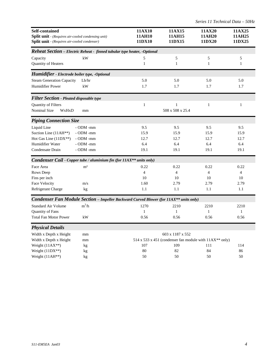| <b>Self-contained</b><br>Split unit - (Requires air-cooled condensing unit)<br><b>Split unit</b> - (Requires air-cooled condenser) |                                                                                               | 11AX10<br>11AH10<br>11DX10 | 11AX15<br>11AH15<br>11DX15 | 11AX20<br>11AH20<br>11DX20                                | 11AX25<br>11AH25<br>11DX25 |
|------------------------------------------------------------------------------------------------------------------------------------|-----------------------------------------------------------------------------------------------|----------------------------|----------------------------|-----------------------------------------------------------|----------------------------|
|                                                                                                                                    | <b>Reheat Section</b> - Electric Reheat - finned tubular type heater, -Optional               |                            |                            |                                                           |                            |
| Capacity<br>Quantity of Heaters                                                                                                    | kW                                                                                            | 5<br>$\mathbf{1}$          | 5<br>$\mathbf{1}$          | 5<br>1                                                    | 5<br>1                     |
| Humidifier - Electrode boiler type, -Optional                                                                                      |                                                                                               |                            |                            |                                                           |                            |
| <b>Steam Generation Capacity</b>                                                                                                   | Lb/hr                                                                                         | 5.0                        | 5.0                        | 5.0                                                       | 5.0                        |
| Humidifier Power                                                                                                                   | kW                                                                                            | 1.7                        | 1.7                        | 1.7                                                       | 1.7                        |
| <b>Filter Section - Pleated disposable type</b>                                                                                    |                                                                                               |                            |                            |                                                           |                            |
| Quantity of Filters                                                                                                                |                                                                                               | $\mathbf{1}$               | $\mathbf{1}$               | $\mathbf{1}$                                              | 1                          |
| Nominal Size<br>WxHxD                                                                                                              | mm                                                                                            |                            | 508 x 508 x 25.4           |                                                           |                            |
| <b>Piping Connection Size</b>                                                                                                      |                                                                                               |                            |                            |                                                           |                            |
| Liquid Line                                                                                                                        | - ODM -mm                                                                                     | 9.5                        | 9.5                        | 9.5                                                       | 9.5                        |
| Suction Line (11AH**)                                                                                                              | - ODM -mm                                                                                     | 15.9                       | 15.9                       | 15.9                                                      | 15.9                       |
| Hot Gas Line $(11DX**)$                                                                                                            | - ODM -mm                                                                                     | 12.7                       | 12.7                       | 12.7                                                      | 12.7                       |
| Humidifier Water                                                                                                                   | $-$ ODM $-$ mm                                                                                | 6.4                        | 6.4                        | 6.4                                                       | 6.4                        |
| Condensate Drain                                                                                                                   | - ODM -mm                                                                                     | 19.1                       | 19.1                       | 19.1                                                      | 19.1                       |
|                                                                                                                                    | Condenser Coil - Copper tube / aluminium fin (for 11AX** units only)                          |                            |                            |                                                           |                            |
| Face Area                                                                                                                          | m <sup>2</sup>                                                                                | 0.22                       | 0.22                       | 0.22                                                      | 0.22                       |
| Rows Deep                                                                                                                          |                                                                                               | $\overline{4}$             | $\overline{4}$             | $\overline{4}$                                            | 4                          |
| Fins per inch                                                                                                                      |                                                                                               | 10                         | 10                         | 10                                                        | 10                         |
| Face Velocity                                                                                                                      | m/s                                                                                           | 1.60                       | 2.79                       | 2.79                                                      | 2.79                       |
| Refrigerant Charge                                                                                                                 | kg                                                                                            | 1.1                        | 1.1                        | 1.1                                                       | 1.1                        |
|                                                                                                                                    | <b>Condenser Fan Module Section - Impeller Backward Curved Blower (for 11AX** units only)</b> |                            |                            |                                                           |                            |
| <b>Standard Air Volume</b>                                                                                                         | $m^3/h$                                                                                       | 1270                       | 2210                       | 2210                                                      | 2210                       |
| Quantity of Fans                                                                                                                   |                                                                                               | 1                          | 1                          | 1                                                         | 1                          |
| <b>Total Fan Motor Power</b>                                                                                                       | kW                                                                                            | 0.56                       | 0.56                       | 0.56                                                      | 0.56                       |
| <b>Physical Details</b>                                                                                                            |                                                                                               |                            |                            |                                                           |                            |
| Width x Depth x Height                                                                                                             | mm                                                                                            |                            | 603 x 1187 x 552           |                                                           |                            |
| Width x Depth x Height                                                                                                             | mm                                                                                            |                            |                            | 514 x 533 x 451 (condenser fan module with $11AX**$ only) |                            |
| Weight $(11AX**)$                                                                                                                  | kg                                                                                            | 107                        | 109                        | 111                                                       | 114                        |
| Weight $(11DX**)$                                                                                                                  | kg                                                                                            | $80\,$                     | 82                         | 84                                                        | 86                         |
| Weight $(11AH**)$                                                                                                                  | kg                                                                                            | 50                         | 50                         | 50                                                        | 50                         |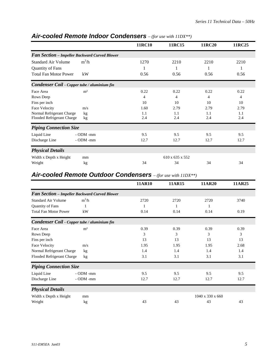|                                                      |                | 11RC10         | 11RC15          | 11RC20 | 11RC25 |
|------------------------------------------------------|----------------|----------------|-----------------|--------|--------|
| <b>Fan Section - Impeller Backward Curved Blower</b> |                |                |                 |        |        |
| <b>Standard Air Volume</b>                           | $m^3/h$        | 1270           | 2210            | 2210   | 2210   |
| <b>Quantity of Fans</b>                              |                |                |                 |        |        |
| <b>Total Fan Motor Power</b>                         | kW             | 0.56           | 0.56            | 0.56   | 0.56   |
| Condenser Coil - Copper tube / aluminium fin         |                |                |                 |        |        |
| Face Area                                            | m <sup>2</sup> | 0.22           | 0.22            | 0.22   | 0.22   |
| Rows Deep                                            |                | $\overline{4}$ | 4               | 4      | 4      |
| Fins per inch                                        |                | 10             | 10              | 10     | 10     |
| Face Velocity                                        | m/s            | 1.60           | 2.79            | 2.79   | 2.79   |
| Normal Refrigerant Charge                            | kg             | 1.1            | 1.1             | 1.1    | 1.1    |
| Flooded Refrigerant Charge                           | kg             | 2.4            | 2.4             | 2.4    | 2.4    |
| <b>Piping Connection Size</b>                        |                |                |                 |        |        |
| Liquid Line                                          | $-$ ODM $-$ mm | 9.5            | 9.5             | 9.5    | 9.5    |
| Discharge Line                                       | - ODM -mm      | 12.7           | 12.7            | 12.7   | 12.7   |
| <b>Physical Details</b>                              |                |                |                 |        |        |
| Width x Depth x Height                               | mm             |                | 610 x 635 x 552 |        |        |
| Weight                                               | kg             | 34             | 34              | 34     | 34     |

#### *Air-cooled Remote Indoor Condensers – (for use with 11DX\*\*)*

#### *Air-cooled Remote Outdoor Condensers – (for use with 11DX\*\*)*

|                               |                                               | 11AR10 | 11AR15 | 11AR20           | 11AR25 |
|-------------------------------|-----------------------------------------------|--------|--------|------------------|--------|
|                               | Fan Section - Impeller Backward Curved Blower |        |        |                  |        |
| <b>Standard Air Volume</b>    | $m^3/h$                                       | 2720   | 2720   | 2720             | 3740   |
| Quantity of Fans              | 1                                             |        |        |                  |        |
| <b>Total Fan Motor Power</b>  | kW                                            | 0.14   | 0.14   | 0.14             | 0.19   |
|                               | Condenser Coil - Copper tube / aluminium fin  |        |        |                  |        |
| Face Area                     | m <sup>2</sup>                                | 0.39   | 0.39   | 0.39             | 0.39   |
| Rows Deep                     |                                               | 3      | 3      | 3                | 3      |
| Fins per inch                 |                                               | 13     | 13     | 13               | 13     |
| Face Velocity                 | m/s                                           | 1.95   | 1.95   | 1.95             | 2.68   |
| Normal Refrigerant Charge     | kg                                            | 1.4    | 1.4    | 1.4              | 1.4    |
| Flooded Refrigerant Charge    | kg                                            | 3.1    | 3.1    | 3.1              | 3.1    |
| <b>Piping Connection Size</b> |                                               |        |        |                  |        |
| Liquid Line                   | $-$ ODM $-$ mm                                | 9.5    | 9.5    | 9.5              | 9.5    |
| Discharge Line                | $-$ ODM $-$ mm                                | 12.7   | 12.7   | 12.7             | 12.7   |
| <b>Physical Details</b>       |                                               |        |        |                  |        |
| Width x Depth x Height        | mm                                            |        |        | 1040 x 330 x 660 |        |
| Weight                        | kg                                            | 43     | 43     | 43               | 43     |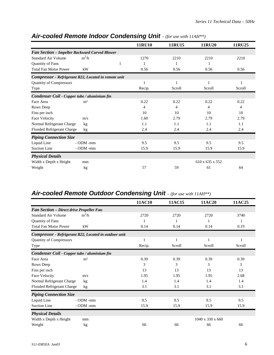|                                                      |                |   | <b>11RU10</b> | 11RU15 | <b>11RU20</b>   | 11RU25       |
|------------------------------------------------------|----------------|---|---------------|--------|-----------------|--------------|
| <b>Fan Section - Impeller Backward Curved Blower</b> |                |   |               |        |                 |              |
| Standard Air Volume                                  | $m^3/h$        |   | 1270          | 2210   | 2210            | 2210         |
| Quantity of Fans                                     |                | 1 |               |        |                 |              |
| <b>Total Fan Motor Power</b>                         | kW             |   | 0.56          | 0.56   | 0.56            | 0.56         |
| Compressor - Refrigerant R22, Located in remote unit |                |   |               |        |                 |              |
| <b>Quantity of Compressors</b>                       |                |   |               | 1      |                 | $\mathbf{1}$ |
| Type                                                 |                |   | Recip.        | Scroll | Scroll          | Scroll       |
| Condenser Coil - Copper tube / aluminium fin         |                |   |               |        |                 |              |
| Face Area                                            | m <sup>2</sup> |   | 0.22          | 0.22   | 0.22            | 0.22         |
| Rows Deep                                            |                |   | 4             | 4      | 4               | 4            |
| Fins per inch                                        |                |   | 10            | 10     | 10              | 10           |
| Face Velocity                                        | m/s            |   | 1.60          | 2.79   | 2.79            | 2.79         |
| Normal Refrigerant Charge                            | kg             |   | 1.1           | 1.1    | 1.1             | 1.1          |
| Flooded Refrigerant Charge                           | kg             |   | 2.4           | 2.4    | 2.4             | 2.4          |
| <b>Piping Connection Size</b>                        |                |   |               |        |                 |              |
| Liquid Line                                          | - ODM -mm      |   | 9.5           | 9.5    | 9.5             | 9.5          |
| <b>Suction Line</b>                                  | $-$ ODM $-$ mm |   | 15.9          | 15.9   | 15.9            | 15.9         |
| <b>Physical Details</b>                              |                |   |               |        |                 |              |
| Width x Depth x Height                               | mm             |   |               |        | 610 x 635 x 552 |              |
| Weight                                               | kg             |   | 57            | 59     | 61              | 64           |

### *Air-cooled Remote Indoor Condensing Unit – (for use with 11AH\*\*)*

### *Air-cooled Remote Outdoor Condensing Unit – (for use with 11AH\*\*)*

|                                                 |                                                       | 11AC10 | 11AC15 | 11AC20           | 11AC25 |
|-------------------------------------------------|-------------------------------------------------------|--------|--------|------------------|--------|
| <b>Fan Section - Direct drive Propeller Fan</b> |                                                       |        |        |                  |        |
| Standard Air Volume                             | $m^3/h$                                               | 2720   | 2720   | 2720             | 3740   |
| Quantity of Fans                                |                                                       | 1      |        |                  | 1      |
| <b>Total Fan Motor Power</b>                    | kW                                                    | 0.14   | 0.14   | 0.14             | 0.19   |
|                                                 | Compressor - Refrigerant R22, Located in outdoor unit |        |        |                  |        |
| <b>Quantity of Compressors</b>                  |                                                       |        | 1      |                  | 1      |
| Type                                            |                                                       | Recip. | Scroll | Scroll           | Scroll |
| Condenser Coil - Copper tube / aluminium fin    |                                                       |        |        |                  |        |
| Face Area                                       | m <sup>2</sup>                                        | 0.39   | 0.39   | 0.39             | 0.39   |
| Rows Deep                                       |                                                       | 3      | 3      | 3                | 3      |
| Fins per inch                                   |                                                       | 13     | 13     | 13               | 13     |
| Face Velocity                                   | m/s                                                   | 1.95   | 1.95   | 1.95             | 2.68   |
| Normal Refrigerant Charge                       | kg                                                    | 1.4    | 1.4    | 1.4              | 1.4    |
| Flooded Refrigerant Charge                      | kg                                                    | 3.1    | 3.1    | 3.1              | 3.1    |
| <b>Piping Connection Size</b>                   |                                                       |        |        |                  |        |
| Liquid Line                                     | $-$ ODM $-$ mm                                        | 9.5    | 9.5    | 9.5              | 9.5    |
| <b>Suction Line</b>                             | $-$ ODM $-$ mm                                        | 15.9   | 15.9   | 15.9             | 15.9   |
| <b>Physical Details</b>                         |                                                       |        |        |                  |        |
| Width x Depth x Height                          | mm                                                    |        |        | 1040 x 330 x 660 |        |
| Weight                                          | kg                                                    | 66     | 66     | 66               | 66     |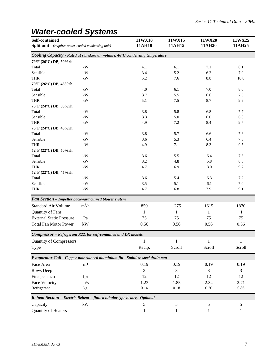# *Water-cooled Systems*

| Self-contained<br><b>Split unit</b> – (requires water-cooled condensing unit)   |                        | 11WX10<br>11AH10 | 11WX15<br>11AH15 | 11WX20<br>11AH20 | 11WX25<br>11AH25 |
|---------------------------------------------------------------------------------|------------------------|------------------|------------------|------------------|------------------|
| Cooling Capacity - Rated at standard air volume, 46°C condensing temperature    |                        |                  |                  |                  |                  |
| 79°F (26°C) DB, 50%rh                                                           |                        |                  |                  |                  |                  |
| Total                                                                           | kW                     | 4.1              | 6.1              | 7.1              | 8.1              |
| Sensible                                                                        | kW                     | 3.4              | 5.2              | 6.2              | 7.0              |
| <b>THR</b>                                                                      | kW                     | 5.2              | 7.6              | 8.8              | 10.0             |
| 79°F (26°C) DB, 45%rh                                                           |                        |                  |                  |                  |                  |
| Total                                                                           | kW                     | 4.0              | 6.1              | 7.0              | 8.0              |
| Sensible                                                                        | kW                     | 3.7              | 5.5              | 6.6              | 7.5              |
| <b>THR</b>                                                                      | kW                     | 5.1              | 7.5              | 8.7              | 9.9              |
| 75°F (24°C) DB, 50%rh                                                           |                        |                  |                  |                  |                  |
| Total                                                                           | kW                     | 3.8              | 5.8              | 6.8              | 7.7              |
| Sensible                                                                        | kW                     | 3.3              | 5.0              | 6.0              | 6.8              |
| <b>THR</b>                                                                      | $\mathbf{k}\mathbf{W}$ | 4.9              | 7.2              | 8.4              | 9.7              |
| 75°F (24°C) DB, 45%rh                                                           |                        |                  |                  |                  |                  |
| Total                                                                           | $\mathbf{k}\mathbf{W}$ | 3.8              | 5.7              | 6.6              | 7.6              |
| Sensible                                                                        | kW                     | 3.6              | 5.3              | 6.4              | 7.3              |
| <b>THR</b>                                                                      | kW                     | 4.9              | 7.1              | 8.3              | 9.5              |
| 72°F (22°C) DB, 50%rh                                                           |                        |                  |                  |                  |                  |
| Total                                                                           | kW                     | 3.6              | 5.5              | 6.4              | 7.3              |
| Sensible                                                                        | kW                     | 3.2              | 4.8              | 5.8              | 6.6              |
| <b>THR</b>                                                                      | kW                     | 4.7              | 6.9              | 8.0              | 9.2              |
| 72°F (22°C) DB, 45%rh                                                           |                        |                  |                  |                  |                  |
| Total                                                                           | $\mathbf{k}\mathbf{W}$ | 3.6              | 5.4              | 6.3              | 7.2              |
| Sensible                                                                        | kW                     | 3.5              | 5.1              | 6.1              | 7.0              |
| <b>THR</b>                                                                      | kW                     | 4.7              | 6.8              | 7.9              | 9.1              |
| Fan Section - Impeller backward curved blower system                            |                        |                  |                  |                  |                  |
| <b>Standard Air Volume</b>                                                      | $m^3/h$                | 850              | 1275             | 1615             | 1870             |
| Quantity of Fans                                                                |                        | 1                | 1                | 1                | 1                |
| <b>External Static Pressure</b>                                                 | Pa                     | 75               | 75               | 75               | 75               |
| <b>Total Fan Motor Power</b>                                                    | kW                     | 0.56             | 0.56             | 0.56             | 0.56             |
| Compressor - Refrigerant R22, for self-contained and DX models                  |                        |                  |                  |                  |                  |
| <b>Quantity of Compressors</b>                                                  |                        | 1                | $\mathbf{1}$     | 1                | 1                |
| Type                                                                            |                        | Recip.           | Scroll           | Scroll           | Scroll           |
| Evaporator Coil - Copper tube /lanced aluminium fin - Stainless steel drain pan |                        |                  |                  |                  |                  |
| Face Area                                                                       | m <sup>2</sup>         | 0.19             | 0.19             | 0.19             | 0.19             |
| Rows Deep                                                                       |                        | 3                | 3                | 3                | 3                |
| Fins per inch                                                                   | fpi                    | 12               | 12               | 12               | 12               |
| Face Velocity                                                                   |                        | 1.23             | 1.85             | 2.34             | 2.71             |
|                                                                                 | m/s                    | 0.14             |                  | $0.20\,$         | 0.86             |
| Refrigerant                                                                     | kg                     |                  | 0.18             |                  |                  |
| Reheat Section - Electric Reheat - finned tubular type heater, -Optional        |                        |                  |                  |                  |                  |
| Capacity                                                                        | kW                     | 5                | 5                | 5                | 5                |
| Quantity of Heaters                                                             |                        | 1                | 1                |                  |                  |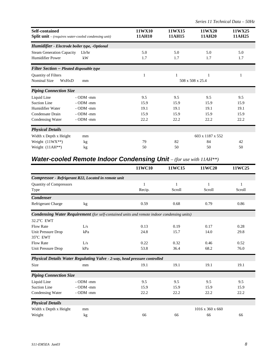| <b>Self-contained</b>                                       |                | 11WX10           | 11WX15 | 11WX20           | 11WX25 |  |
|-------------------------------------------------------------|----------------|------------------|--------|------------------|--------|--|
| <b>Split unit</b> – (requires water-cooled condensing unit) |                | 11AH10           | 11AH15 | 11AH20           | 11AH25 |  |
| Humidifier - Electrode boiler type, -Optional               |                |                  |        |                  |        |  |
| <b>Steam Generation Capacity</b>                            | Lb/hr          | 5.0              | 5.0    | 5.0              | 5.0    |  |
| <b>Humidifier Power</b>                                     | kW             | 1.7              | 1.7    | 1.7              | 1.7    |  |
| <b>Filter Section – Pleated disposable type</b>             |                |                  |        |                  |        |  |
| <b>Quantity of Filters</b>                                  |                | 1                |        |                  |        |  |
| <b>Nominal Size</b>                                         |                | 1                |        |                  |        |  |
| WxHxD                                                       |                | 1                |        |                  |        |  |
| mm                                                          |                | 508 x 508 x 25.4 |        |                  |        |  |
| <b>Piping Connection Size</b>                               |                |                  |        |                  |        |  |
| Liquid Line<br><b>Suction Line</b>                          | $-$ ODM $-$ mm | 9.5              | 9.5    | 9.5              | 9.5    |  |
| Humidifier Water                                            | - ODM -mm      | 15.9             | 15.9   | 15.9             | 15.9   |  |
|                                                             | $-$ ODM $-$ mm | 19.1             | 19.1   | 19.1             | 19.1   |  |
| Condensate Drain                                            | $-$ ODM $-$ mm | 15.9             | 15.9   | 15.9             | 15.9   |  |
| Condensing Water                                            | - ODM -mm      | 22.2             | 22.2   | 22.2             | 22.2   |  |
| <b>Physical Details</b>                                     |                |                  |        |                  |        |  |
| Width x Depth x Height                                      | mm             |                  |        | 603 x 1187 x 552 |        |  |
| Weight $(11WX**)$                                           | kg             | 79               | 82     | 84               | 42     |  |
| Weight (11AH**)                                             | kg             | 50               | 50     | 50               | 50     |  |

### *Water-cooled Remote Indoor Condensing Unit - (for use with 11AH\*\*)*

|                                |                                                                                                   | 11WC10 | 11WC15 | 11WC20           | 11WC25 |
|--------------------------------|---------------------------------------------------------------------------------------------------|--------|--------|------------------|--------|
|                                | Compressor - Refrigerant R22, Located in remote unit                                              |        |        |                  |        |
| <b>Quantity of Compressors</b> |                                                                                                   | 1      | 1      | 1                | 1      |
| Type                           |                                                                                                   | Recip. | Scroll | Scroll           | Scroll |
| <b>Condenser</b>               |                                                                                                   |        |        |                  |        |
| Refrigerant Charge             | kg                                                                                                | 0.59   | 0.68   | 0.79             | 0.86   |
|                                | <b>Condensing Water Requirement</b> (for self-contained units and remote indoor condensing units) |        |        |                  |        |
| $32.2^{\circ}$ C EWT           |                                                                                                   |        |        |                  |        |
| <b>Flow Rate</b>               | L/s                                                                                               | 0.13   | 0.19   | 0.17             | 0.28   |
| Unit Pressure Drop             | kPa                                                                                               | 24.8   | 15.7   | 14.0             | 29.8   |
| 35°C EWT                       |                                                                                                   |        |        |                  |        |
| <b>Flow Rate</b>               | L/s                                                                                               | 0.22   | 0.32   | 0.46             | 0.52   |
| Unit Pressure Drop             | kPa                                                                                               | 53.8   | 36.4   | 68.2             | 76.0   |
|                                | Physical Details Water Regulating Valve - 2-way, head pressure controlled                         |        |        |                  |        |
| Size                           | mm                                                                                                | 19.1   | 19.1   | 19.1             | 19.1   |
| <b>Piping Connection Size</b>  |                                                                                                   |        |        |                  |        |
| Liquid Line                    | - ODM -mm                                                                                         | 9.5    | 9.5    | 9.5              | 9.5    |
| <b>Suction Line</b>            | $-$ ODM $-$ mm                                                                                    | 15.9   | 15.9   | 15.9             | 15.9   |
| <b>Condensing Water</b>        | - ODM -mm                                                                                         | 22.2   | 22.2   | 22.2             | 22.2   |
| <b>Physical Details</b>        |                                                                                                   |        |        |                  |        |
| Width x Depth x Height         | mm                                                                                                |        |        | 1016 x 360 x 660 |        |
| Weight                         | kg                                                                                                | 66     | 66     | 66               | 66     |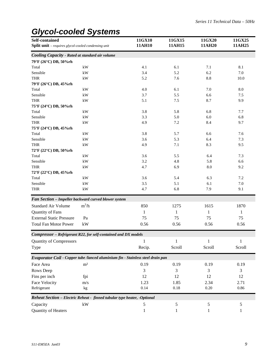## *Glycol-cooled Systems*

| Self-contained<br><b>Split unit</b> – requires glycol-cooled condensing unit |                        | 11GX10<br>11AH10                                                                | 11GX15<br>11AH15 | 11GX20<br>11AH20 | 11GX25<br>11AH25 |
|------------------------------------------------------------------------------|------------------------|---------------------------------------------------------------------------------|------------------|------------------|------------------|
| Cooling Capacity - Rated at standard air volume                              |                        |                                                                                 |                  |                  |                  |
| 79°F (26°C) DB, 50%rh                                                        |                        |                                                                                 |                  |                  |                  |
| Total                                                                        | kW                     | 4.1                                                                             | 6.1              | 7.1              | 8.1              |
| Sensible                                                                     | kW                     | 3.4                                                                             | 5.2              | 6.2              | 7.0              |
| <b>THR</b>                                                                   | kW                     | 5.2                                                                             | 7.6              | 8.8              | 10.0             |
| 79°F (26°C) DB, 45%rh                                                        |                        |                                                                                 |                  |                  |                  |
| Total                                                                        | kW                     | 4.0                                                                             | 6.1              | 7.0              | 8.0              |
| Sensible                                                                     | kW                     | 3.7                                                                             | 5.5              | 6.6              | 7.5              |
| <b>THR</b>                                                                   | $\mathbf{k}\mathbf{W}$ | 5.1                                                                             | 7.5              | 8.7              | 9.9              |
| 75°F (24°C) DB, 50%rh                                                        |                        |                                                                                 |                  |                  |                  |
| Total                                                                        | $\mathbf{k}\mathbf{W}$ | 3.8                                                                             | 5.8              | 6.8              | 7.7              |
| Sensible                                                                     | $\mathbf{k}\mathbf{W}$ | 3.3                                                                             | 5.0              | 6.0              | 6.8              |
| <b>THR</b>                                                                   | $\mathbf{k}\mathbf{W}$ | 4.9                                                                             | 7.2              | 8.4              | 9.7              |
| 75°F (24°C) DB, 45%rh                                                        |                        |                                                                                 |                  |                  |                  |
| Total                                                                        | kW                     | 3.8                                                                             | 5.7              | 6.6              | 7.6              |
| Sensible                                                                     | $\mathbf{k}\mathbf{W}$ | 3.6                                                                             | 5.3              | 6.4              | 7.3              |
| <b>THR</b>                                                                   | $\mathbf{k}\mathbf{W}$ | 4.9                                                                             | 7.1              | 8.3              | 9.5              |
| 72°F (22°C) DB, 50%rh                                                        |                        |                                                                                 |                  |                  |                  |
| Total                                                                        | kW                     | 3.6                                                                             | 5.5              | 6.4              | 7.3              |
| Sensible                                                                     | kW                     | 3.2                                                                             | 4.8              | 5.8              | 6.6              |
| <b>THR</b>                                                                   | kW                     | 4.7                                                                             | 6.9              | 8.0              | 9.2              |
| 72°F (22°C) DB, 45%rh                                                        |                        |                                                                                 |                  |                  |                  |
| Total                                                                        | kW                     | 3.6                                                                             | 5.4              | 6.3              | 7.2              |
| Sensible                                                                     | $\mathbf{k}\mathbf{W}$ | 3.5                                                                             | 5.1              | 6.1              | 7.0              |
| <b>THR</b>                                                                   | kW                     | 4.7                                                                             | 6.8              | 7.9              | 9.1              |
| Fan Section - Impeller backward curved blower system                         |                        |                                                                                 |                  |                  |                  |
| <b>Standard Air Volume</b>                                                   | $m^3/h$                | 850                                                                             | 1275             | 1615             | 1870             |
| Quantity of Fans                                                             |                        | 1                                                                               | $\mathbf{1}$     | $\mathbf{1}$     | 1                |
| <b>External Static Pressure</b>                                              | Pa                     | 75                                                                              | 75               | 75               | 75               |
| <b>Total Fan Motor Power</b>                                                 | kW                     | 0.56                                                                            | 0.56             | 0.56             | 0.56             |
| Compressor - Refrigerant R22, for self-contained and DX models               |                        |                                                                                 |                  |                  |                  |
| <b>Quantity of Compressors</b>                                               |                        | $\mathbf{1}$                                                                    | $\mathbf{1}$     | 1                | 1                |
| Type                                                                         |                        | Recip.                                                                          | Scroll           | Scroll           | Scroll           |
|                                                                              |                        | Evaporator Coil - Copper tube /lanced aluminium fin - Stainless steel drain pan |                  |                  |                  |
| Face Area                                                                    | m <sup>2</sup>         | 0.19                                                                            | 0.19             | 0.19             | 0.19             |
| Rows Deep                                                                    |                        | 3                                                                               | 3                | 3                | 3                |
| Fins per inch                                                                | fpi                    | 12                                                                              | 12               | 12               | 12               |
| Face Velocity                                                                | m/s                    | 1.23                                                                            | 1.85             | 2.34             | 2.71             |
| Refrigerant                                                                  | kg                     | 0.14                                                                            | 0.18             | 0.20             | 0.86             |
| Reheat Section - Electric Reheat - finned tubular type heater, -Optional     |                        |                                                                                 |                  |                  |                  |
| Capacity                                                                     | kW                     | 5                                                                               | 5                | 5                | 5                |
| Quantity of Heaters                                                          |                        |                                                                                 |                  |                  |                  |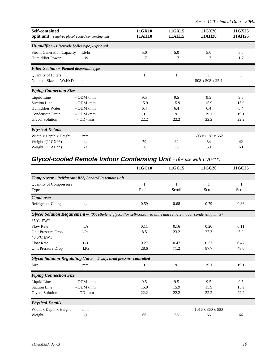| <b>Self-contained</b><br><b>Split unit</b> - requires glycol-cooled condensing unit |                                               | 11GX10<br>11AH10 | 11GX15<br>11AH15 | 11GX20<br>11AH20 | 11GX25<br>11AH25 |
|-------------------------------------------------------------------------------------|-----------------------------------------------|------------------|------------------|------------------|------------------|
|                                                                                     | Humidifier - Electrode boiler type, -Optional |                  |                  |                  |                  |
| <b>Steam Generation Capacity</b>                                                    | Lb/hr                                         | 5.0              | 5.0              | 5.0              | 5.0              |
| <b>Humidifier Power</b>                                                             | kW                                            | 1.7              | 1.7              | 1.7              | 1.7              |
| Filter Section - Pleated disposable type                                            |                                               |                  |                  |                  |                  |
| <b>Quantity of Filters</b>                                                          |                                               | $\mathbf{1}$     | 1                | 1                | 1                |
| Nominal Size<br>WxHxD                                                               | mm                                            |                  |                  | 508 x 508 x 25.4 |                  |
| <b>Piping Connection Size</b>                                                       |                                               |                  |                  |                  |                  |
| Liquid Line                                                                         | $-$ ODM $-$ mm                                | 9.5              | 9.5              | 9.5              | 9.5              |
| Suction Line                                                                        | $-$ ODM $-$ mm                                | 15.9             | 15.9             | 15.9             | 15.9             |
| Humidifier Water                                                                    | $-$ ODM $-$ mm                                | 6.4              | 6.4              | 6.4              | 6.4              |
| Condensate Drain                                                                    | $-$ ODM $-$ mm                                | 19.1             | 19.1             | 19.1             | 19.1             |
| <b>Glycol Solution</b>                                                              | $-$ OD $-$ mm                                 | 22.2             | 22.2             | 22.2             | 22.2             |
| <b>Physical Details</b>                                                             |                                               |                  |                  |                  |                  |
| Width x Depth x Height                                                              | mm                                            |                  |                  | 603 x 1187 x 552 |                  |
| Weight $(11GX**)$                                                                   | kg                                            | 79               | 82               | 84               | 42               |
| Weight (11AH**)                                                                     | kg                                            | 50               | 50               | 50               | 50               |

### *Glycol-cooled Remote Indoor Condensing Unit – (for use with 11AH\*\*)*

|                                |                                                                                                                          | 11GC10 | 11GC15 | 11GC20                       | 11GC25 |
|--------------------------------|--------------------------------------------------------------------------------------------------------------------------|--------|--------|------------------------------|--------|
|                                | Compressor - Refrigerant R22, Located in remote unit                                                                     |        |        |                              |        |
| <b>Quantity of Compressors</b> |                                                                                                                          | 1      | 1      | 1                            | 1      |
| Type                           |                                                                                                                          | Recip. | Scroll | Scroll                       | Scroll |
| <b>Condenser</b>               |                                                                                                                          |        |        |                              |        |
| Refrigerant Charge             | kg                                                                                                                       | 0.59   | 0.68   | 0.79                         | 0.86   |
|                                | <b>Glycol Solution Requirement</b> $-40\%$ ethylene glycol (for self-contained units and remote indoor condensing units) |        |        |                              |        |
| $35^{\circ}$ C EWT             |                                                                                                                          |        |        |                              |        |
| <b>Flow Rate</b>               | L/s                                                                                                                      | 0.11   | 0.16   | 0.20                         | 0.11   |
| Unit Pressure Drop             | kPa                                                                                                                      | 8.5    | 23.2   | 27.3                         | 5.0    |
| 40.6°C EWT                     |                                                                                                                          |        |        |                              |        |
| <b>Flow Rate</b>               | L/s                                                                                                                      | 0.27   | 0.47   | 0.57                         | 0.47   |
| Unit Pressure Drop             | kPa                                                                                                                      | 28.6   | 71.2   | 87.7                         | 48.0   |
|                                | Glycol Solution Regulating Valve - 2 way, head pressure controlled                                                       |        |        |                              |        |
| <b>Size</b>                    | mm                                                                                                                       | 19.1   | 19.1   | 19.1                         | 19.1   |
| <b>Piping Connection Size</b>  |                                                                                                                          |        |        |                              |        |
| Liquid Line                    | $-$ ODM $-$ mm                                                                                                           | 9.5    | 9.5    | 9.5                          | 9.5    |
| <b>Suction Line</b>            | $-$ ODM $-$ mm                                                                                                           | 15.9   | 15.9   | 15.9                         | 15.9   |
| <b>Glycol Solution</b>         | $-$ OD $-$ mm                                                                                                            | 22.2   | 22.2   | 22.2                         | 22.2   |
| <b>Physical Details</b>        |                                                                                                                          |        |        |                              |        |
| Width x Depth x Height         | mm                                                                                                                       |        |        | $1016 \times 360 \times 660$ |        |
| Weight                         | kg                                                                                                                       | 66     | 66     | 66                           | 66     |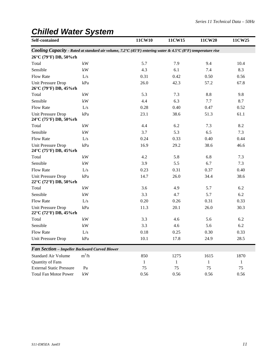### *Chilled Water System*

| Self-contained                                     |                        | 11CW10                                                                                                      | 11CW15       | 11CW20       | 11CW25 |
|----------------------------------------------------|------------------------|-------------------------------------------------------------------------------------------------------------|--------------|--------------|--------|
|                                                    |                        | Cooling Capacity - Rated at standard air volume, 7.2°C (45°F) entering water & 4.5°C (8°F) temperature rise |              |              |        |
| 26°C (79°F) DB, 50%rh                              |                        |                                                                                                             |              |              |        |
| Total                                              | kW                     | 5.7                                                                                                         | 7.9          | 9.4          | 10.4   |
| Sensible                                           | kW                     | 4.3                                                                                                         | 6.1          | 7.4          | 8.3    |
| Flow Rate                                          | L/s                    | 0.31                                                                                                        | 0.42         | 0.50         | 0.56   |
| <b>Unit Pressure Drop</b><br>26°C (79°F) DB, 45%rh | kPa                    | 26.0                                                                                                        | 42.3         | 57.2         | 67.8   |
| Total                                              | $\mathbf{k}\mathbf{W}$ | 5.3                                                                                                         | 7.3          | 8.8          | 9.8    |
| Sensible                                           | kW                     | 4.4                                                                                                         | 6.3          | 7.7          | 8.7    |
| <b>Flow Rate</b>                                   | L/s                    | 0.28                                                                                                        | 0.40         | 0.47         | 0.52   |
| Unit Pressure Drop<br>24°C (75°F) DB, 50%rh        | kPa                    | 23.1                                                                                                        | 38.6         | 51.3         | 61.1   |
| Total                                              | kW                     | 4.4                                                                                                         | 6.2          | 7.3          | 8.2    |
| Sensible                                           | kW                     | 3.7                                                                                                         | 5.3          | 6.5          | 7.3    |
| <b>Flow Rate</b>                                   | L/s                    | 0.24                                                                                                        | 0.33         | 0.40         | 0.44   |
| <b>Unit Pressure Drop</b><br>24°C (75°F) DB, 45%rh | kPa                    | 16.9                                                                                                        | 29.2         | 38.6         | 46.6   |
| Total                                              | kW                     | 4.2                                                                                                         | 5.8          | 6.8          | 7.3    |
| Sensible                                           | kW                     | 3.9                                                                                                         | 5.5          | 6.7          | 7.3    |
| Flow Rate                                          | L/s                    | 0.23                                                                                                        | 0.31         | 0.37         | 0.40   |
| Unit Pressure Drop<br>22°C (72°F) DB, 50%rh        | kPa                    | 14.7                                                                                                        | 26.0         | 34.4         | 38.6   |
| Total                                              | $\mathbf{k}\mathbf{W}$ | 3.6                                                                                                         | 4.9          | 5.7          | 6.2    |
| Sensible                                           | kW                     | 3.3                                                                                                         | 4.7          | 5.7          | 6.2    |
| Flow Rate                                          | L/s                    | 0.20                                                                                                        | 0.26         | 0.31         | 0.33   |
| <b>Unit Pressure Drop</b><br>22°C (72°F) DB, 45%rh | kPa                    | 11.3                                                                                                        | 20.1         | 26.0         | 30.3   |
| Total                                              | $\mathbf{k}\mathbf{W}$ | 3.3                                                                                                         | 4.6          | 5.6          | 6.2    |
| Sensible                                           | kW                     | 3.3                                                                                                         | 4.6          | 5.6          | 6.2    |
| Flow Rate                                          | L/s                    | 0.18                                                                                                        | 0.25         | 0.30         | 0.33   |
| Unit Pressure Drop                                 | kPa                    | 10.1                                                                                                        | 17.8         | 24.9         | 28.5   |
| Fan Section - Impeller Backward Curved Blower      |                        |                                                                                                             |              |              |        |
| <b>Standard Air Volume</b>                         | $m^3/h$                | 850                                                                                                         | 1275         | 1615         | 1870   |
| Quantity of Fans                                   |                        | $\mathbf{1}$                                                                                                | $\mathbf{1}$ | $\mathbf{1}$ | 1      |
| <b>External Static Pressure</b>                    | Pa                     | 75                                                                                                          | 75           | 75           | 75     |
| <b>Total Fan Motor Power</b>                       | $\mathbf{k}\mathbf{W}$ | 0.56                                                                                                        | 0.56         | 0.56         | 0.56   |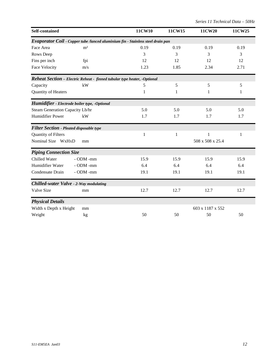| Self-contained                                  |                                                                                 | 11CW10 | 11CW15       | 11CW20           | 11CW25 |
|-------------------------------------------------|---------------------------------------------------------------------------------|--------|--------------|------------------|--------|
|                                                 | Evaporator Coil - Copper tube /lanced aluminium fin - Stainless steel drain pan |        |              |                  |        |
| Face Area                                       | m <sup>2</sup>                                                                  | 0.19   | 0.19         | 0.19             | 0.19   |
| Rows Deep                                       |                                                                                 | 3      | 3            | 3                | 3      |
| Fins per inch                                   | fpi                                                                             | 12     | 12           | 12               | 12     |
| Face Velocity                                   | m/s                                                                             | 1.23   | 1.85         | 2.34             | 2.71   |
|                                                 | Reheat Section - Electric Reheat - finned tubular type heater, -Optional        |        |              |                  |        |
| Capacity                                        | kW                                                                              | 5      | 5            | 5                | 5      |
| Quantity of Heaters                             |                                                                                 | 1      | 1            | 1                | 1      |
|                                                 | Humidifier - Electrode boiler type, -Optional                                   |        |              |                  |        |
| Steam Generation Capacity Lb/hr                 |                                                                                 | 5.0    | 5.0          | 5.0              | 5.0    |
| Humidifier Power                                | kW                                                                              | 1.7    | 1.7          | 1.7              | 1.7    |
| <b>Filter Section - Pleated disposable type</b> |                                                                                 |        |              |                  |        |
| Quantity of Filters                             |                                                                                 | 1      | $\mathbf{1}$ | 1                | 1      |
| Nominal Size WxHxD                              | mm                                                                              |        |              | 508 x 508 x 25.4 |        |
| <b>Piping Connection Size</b>                   |                                                                                 |        |              |                  |        |
| Chilled Water                                   | - ODM -mm                                                                       | 15.9   | 15.9         | 15.9             | 15.9   |
| Humidifier Water                                | - ODM -mm                                                                       | 6.4    | 6.4          | 6.4              | 6.4    |
| Condensate Drain                                | - ODM -mm                                                                       | 19.1   | 19.1         | 19.1             | 19.1   |
|                                                 | Chilled-water Valve - 2-Way modulating                                          |        |              |                  |        |
| Valve Size                                      | mm                                                                              | 12.7   | 12.7         | 12.7             | 12.7   |
| <b>Physical Details</b>                         |                                                                                 |        |              |                  |        |
| Width x Depth x Height                          | mm                                                                              |        |              | 603 x 1187 x 552 |        |
| Weight                                          | kg                                                                              | 50     | 50           | 50               | 50     |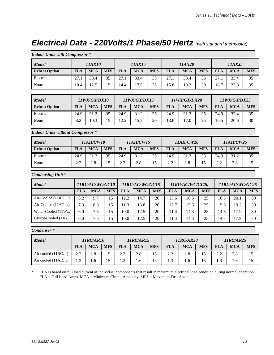### *Electrical Data - 220Volts/1 Phase/50 Hertz (with standard thermostat)*

| <b>Indoor Units with Compressor *</b>    |                  |                  |                 |                  |              |                 |                  |                    |                 |                  |                   |                 |  |
|------------------------------------------|------------------|------------------|-----------------|------------------|--------------|-----------------|------------------|--------------------|-----------------|------------------|-------------------|-----------------|--|
| <b>Model</b>                             |                  | 11AX10           |                 |                  | 11AX15       |                 |                  | 11AX20             |                 |                  | 11AX25            |                 |  |
| <b>Reheat Option</b>                     | <b>FLA</b>       | <b>MCA</b>       | <b>MFS</b>      | <b>FLA</b>       | <b>MCA</b>   | <b>MFS</b>      | <b>FLA</b>       | <b>MCA</b>         | <b>MFS</b>      | <b>FLA</b>       | <b>MCA</b>        | <b>MFS</b>      |  |
| Electric                                 | 27.1             | 33.4             | 35              | 27.1             | 33.4         | 35              | 27.1             | 33.4               | 35              | 27.1             | 33.4              | 35              |  |
| None                                     | 10.4             | 12.5             | 15              | 14.4             | 17.5         | 25              | 15.8             | 19.2               | 30              | 18.7             | 22.8              | 35              |  |
|                                          |                  |                  |                 |                  |              |                 |                  |                    |                 |                  |                   |                 |  |
| <b>Model</b>                             |                  | 11WX/GX/DX10     |                 |                  | 11WX/GX/DX15 |                 |                  | 11WX/GX/DX20       |                 |                  | 11WX/GX/DX25      |                 |  |
| <b>Reheat Option</b>                     | <b>FLA</b>       | <b>MCA</b>       | <b>MFS</b>      | <b>FLA</b>       | <b>MCA</b>   | <b>MFS</b>      | <b>FLA</b>       | <b>MCA</b>         | <b>MFS</b>      | <b>FLA</b>       | <b>MCA</b>        | <b>MFS</b>      |  |
| Electric                                 | 24.9             | 31.2             | 35              | 24.9             | 31.2         | 35              | 24.9             | 31.2               | 35              | 24.9             | 33.4              | 35              |  |
| None                                     | $\overline{8.2}$ | 10.3             | 15              | 12.2             | 15.3         | 20              | 13.6             | 17.0               | 25              | 16.5             | 20.6              | $\overline{30}$ |  |
| <b>Indoor Units without Compressor *</b> |                  |                  |                 |                  |              |                 |                  |                    |                 |                  |                   |                 |  |
| <b>Model</b>                             |                  | <b>11AH/CW10</b> |                 | <b>11AH/CW15</b> |              |                 | 11AH/CW20        |                    |                 | <b>11AH/CW25</b> |                   |                 |  |
| <b>Reheat Option</b>                     | <b>FLA</b>       | <b>MCA</b>       | <b>MFS</b>      | <b>FLA</b>       | <b>MCA</b>   | <b>MFS</b>      | <b>FLA</b>       | <b>MCA</b>         | <b>MFS</b>      | <b>FLA</b>       | <b>MCA</b>        | <b>MFS</b>      |  |
| Electric                                 | 24.9             | 31.2             | 35              | 24.9             | 31.2         | 35              | 24.9             | 31.2               | 35              | 24.9             | 31.2              | 35              |  |
| None                                     | $\overline{2.2}$ | $\overline{2.8}$ | $\overline{15}$ | 2.2              | 2.8          | 15              | $\overline{2.2}$ | $\overline{2.8}$   | 15              | 2.2              | 2.8               | 15              |  |
| <b>Condensing Unit *</b>                 |                  |                  |                 |                  |              |                 |                  |                    |                 |                  |                   |                 |  |
| <b>Model</b>                             |                  | 11RU/AC/WC/GC10  |                 | 11RU/AC/WC/GC15  |              |                 | 11RU/AC/WC/GC20  |                    |                 | 11RU/AC/WC/GC25  |                   |                 |  |
|                                          | <b>FLA</b>       | <b>MCA</b>       | <b>MFS</b>      | <b>FLA</b>       | <b>MCA</b>   | <b>MFS</b>      | <b>FLA</b>       | <b>MCA</b>         | <b>MFS</b>      | <b>FLA</b>       | <b>MCA</b>        | <b>MFS</b>      |  |
| Air-Cooled (11RU)                        | $\overline{8.2}$ | 9.7              | $\overline{15}$ | 12.2             | 14.7         | $\overline{20}$ | 13.6             | 16.5               | $\overline{25}$ | 16.5             | $\overline{20.1}$ | $\overline{30}$ |  |
| Air-Cooled (11AC)                        | 7.3              | 8.8              | 15              | 11.3             | 13.8         | 20              | 12.7             | 15.6               | 25              | 15.6             | 19.2              | $\overline{30}$ |  |
| Water-Cooled (11W)                       | 6.0              | 7.5              | $\overline{15}$ | 10.0             | 12.5         | 20              | 11.4             | 14.3               | $\overline{25}$ | 14.3             | 17.9              | 30              |  |
| Glycol-Cooled (11G)                      | 6.0              | $\overline{7.5}$ | 15              | 10.0             | 12.5         | 20              | 11.4             | $\overline{1}$ 4.3 | 25              | 14.3             | 17.9              | 30              |  |
| Condenser <sup>*</sup>                   |                  |                  |                 |                  |              |                 |                  |                    |                 |                  |                   |                 |  |
| <b>Model</b>                             |                  | 11RC/AR10        |                 |                  | 11RC/AR15    |                 |                  | 11RC/AR20          |                 | 11RC/AR25        |                   |                 |  |
|                                          | <b>FLA</b>       | <b>MCA</b>       | <b>MFS</b>      | <b>FLA</b>       | <b>MCA</b>   | <b>MFS</b>      | <b>FLA</b>       | <b>MCA</b>         | <b>MFS</b>      | <b>FLA</b>       | <b>MCA</b>        | <b>MFS</b>      |  |
| Air cooled (11RC)                        | 2.2              | 2.8              | 15              | $\overline{2.2}$ | 2.8          | 15              | 2.2              | 2.8                | 15              | 2.2              | 2.8               | 15              |  |
| Air cooled (11AR)                        | $\overline{1.3}$ | 1.6              | $\overline{15}$ | $\overline{1.3}$ | 1.6          | $\overline{15}$ | $\overline{1.3}$ | 1.6                | $\overline{15}$ | $\overline{1.3}$ | 1.6               | $\overline{15}$ |  |

\* FLA is based on full load current of individual components that result in maximum electrical load condition during normal operation. FLA = Full Load Amps, MCA = Minimum Circuit Ampacity, MFS = Maximum Fuse Size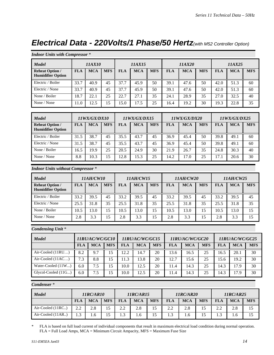### *Electrical Data - 220Volts/1 Phase/50 Hertz(with M52 Controller Option)*

| <b>Indoor Units with Compressor *</b>              |            |              |            |              |            |            |              |            |            |              |            |            |
|----------------------------------------------------|------------|--------------|------------|--------------|------------|------------|--------------|------------|------------|--------------|------------|------------|
| <b>Model</b>                                       | 11AX10     |              |            | 11AX15       |            |            | 11AX20       |            |            | 11AX25       |            |            |
| <b>Reheat Option /</b><br><b>Humidifier Option</b> | <b>FLA</b> | <b>MCA</b>   | <b>MFS</b> | <b>FLA</b>   | <b>MCA</b> | <b>MFS</b> | <b>FLA</b>   | <b>MCA</b> | <b>MFS</b> | <b>FLA</b>   | <b>MCA</b> | <b>MFS</b> |
| Electric / Boiler                                  | 33.7       | 40.9         | 45         | 37.7         | 45.9       | 50         | 39.1         | 47.6       | 50         | 42.0         | 51.3       | 60         |
| Electric / None                                    | 33.7       | 40.9         | 45         | 37.7         | 45.9       | 50         | 39.1         | 47.6       | 50         | 42.0         | 51.3       | 60         |
| None / Boiler                                      | 18.7       | 22.1         | 25         | 22.7         | 27.1       | 35         | 24.1         | 28.9       | 35         | 27.0         | 32.5       | 40         |
| None / None                                        | 11.0       | 12.5         | 15         | 15.0         | 17.5       | 25         | 16.4         | 19.2       | 30         | 19.3         | 22.8       | 35         |
|                                                    |            |              |            |              |            |            |              |            |            |              |            |            |
| <b>Model</b>                                       |            | 11WX/GX/DX10 |            | 11WX/GX/DX15 |            |            | 11WX/GX/DX20 |            |            | 11WX/GX/DX25 |            |            |
| <b>Reheat Option /</b>                             |            |              |            |              |            |            |              |            |            |              |            |            |
| <b>Humidifier Option</b>                           | <b>FLA</b> | <b>MCA</b>   | <b>MFS</b> | <b>FLA</b>   | <b>MCA</b> | <b>MFS</b> | <b>FLA</b>   | <b>MCA</b> | <b>MFS</b> | <b>FLA</b>   | <b>MCA</b> | <b>MFS</b> |
| Electric / Boiler                                  | 31.5       | 38.7         | 45         | 35.5         | 43.7       | 45         | 36.9         | 45.4       | 50         | 39.8         | 49.1       | 60         |
| Electric / None                                    | 31.5       | 38.7         | 45         | 35.5         | 43.7       | 45         | 36.9         | 45.4       | 50         | 39.8         | 49.1       | 60         |
| None / Boiler                                      | 16.5       | 19.9         | 25         | 20.5         | 24.9       | 30         | 21.9         | 26.7       | 35         | 24.8         | 30.3       | 40         |

*Indoor Units without Compressor* \*

| <b>Model</b>                                       | <i><b>11AH/CW10</b></i> |            | <b>11AH/CW15</b> |            |            | <i><b>11AH/CW20</b></i> |            |            | 11AH/CW25  |            |            |            |
|----------------------------------------------------|-------------------------|------------|------------------|------------|------------|-------------------------|------------|------------|------------|------------|------------|------------|
| <b>Reheat Option /</b><br><b>Humidifier Option</b> | <b>FLA</b>              | <b>MCA</b> | <b>MFS</b>       | <b>FLA</b> | <b>MCA</b> | <b>MFS</b>              | <b>FLA</b> | <b>MCA</b> | <b>MFS</b> | <b>FLA</b> | <b>MCA</b> | <b>MFS</b> |
| Electric / Boiler                                  | 33.2                    | 39.5       | 45               | 33.2       | 39.5       | 45                      | 33.2       | 39.5       | 45         | 33.2       | 39.5       | 45         |
| Electric / None                                    | 25.5                    | 31.8       | 35               | 25.5       | 31.8       | 35                      | 25.5       | 31.8       | 35         | 25.5       | 31.8       | 35         |
| None / Boiler                                      | 10.5                    | 13.0       | 15               | 10.5       | 13.0       | 15                      | 10.5       | 13.0       | 15         | 10.5       | 13.0       | 15         |
| None / None                                        | 2.8                     | 3.3        | 15               | 2.8        | 3.3        | 15                      | 2.8        | 3.3        | 15         | 2.8        | 3.3        | 15         |

*Condensing Unit* \*

| <b>Model</b>        | <i><b>11RU/AC/WC/GC10</b></i> |             |            | 11RU/AC/WC/GC15 |            |            | <i><b>11RU/AC/WC/GC20</b></i> |            |            | 11RU/AC/WC/GC25 |            |            |
|---------------------|-------------------------------|-------------|------------|-----------------|------------|------------|-------------------------------|------------|------------|-----------------|------------|------------|
|                     | FLA                           | <b>MCA</b>  | <b>MFS</b> | <b>FLA</b>      | <b>MCA</b> | <b>MFS</b> | <b>FLA</b>                    | <b>MCA</b> | <b>MFS</b> | <b>FLA</b>      | <b>MCA</b> | <b>MFS</b> |
| Air-Cooled (11RU)   | 8.2                           | 9.7         | 15         | 12.2            | 14.7       | 20         | 13.6                          | 16.5       | 25         | 16.5            | 20.1       | 30         |
| Air-Cooled $(11AC)$ | 7.3                           | 8.8         | 15         | 1.3             | 13.8       | 20         | 12.7                          | 15.6       | 25         | 15.6            | 19.2       | 30         |
| Water-Cooled (11W)  | 6.0                           | $\sqrt{.5}$ |            | 10.0            | 12.5       | 20         | 11.4                          | 14.3       | 25         | 14.3            | 17.9       | 30         |
| Glycol-Cooled (11G) | 6.0                           | ⇁<br>/ .5   | 15         | 10.0            | 12.5       | 20         | 11.4                          | 14.3       | 25         | 14.3            | 17.9       | 30         |

*Condenser* \*

| <b>Model</b>      | <b>11RC/AR10</b> |            |            | <b>11RC/AR15</b> |            |            | <b>11RC/AR20</b> |            |            | IIRC/AR25  |            |            |
|-------------------|------------------|------------|------------|------------------|------------|------------|------------------|------------|------------|------------|------------|------------|
|                   | <b>FLA</b>       | <b>MCA</b> | <b>MFS</b> | <b>FLA</b>       | <b>MCA</b> | <b>MFS</b> | <b>FLA</b>       | <b>MCA</b> | <b>MFS</b> | <b>FLA</b> | <b>MCA</b> | <b>MFS</b> |
| Air-Cooled (11RC) | 2.2              | 2.8        |            | 2.2              | 2.8        | 15         | 2.2              | 2.8        | 15         | 2.2        | 2.8        | 15         |
| Air-Cooled (11AR) | $\mathbf{z}$     | 1.6        |            | 1.3              | 1.0        | 15         | 1.3              | 1.6        | 15         | 1.3        |            | 15         |

\* FLA is based on full load current of individual components that result in maximum electrical load condition during normal operation. FLA = Full Load Amps, MCA = Minimum Circuit Ampacity, MFS = Maximum Fuse Size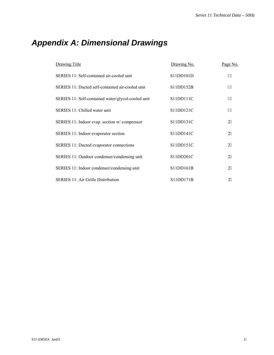### *Appendix A: Dimensional Drawings*

| Drawing Title                                      | Drawing No. | Page No. |
|----------------------------------------------------|-------------|----------|
| SERIES 11: Self-contained air-cooled unit          | S11DD101D   | 38       |
| SERIES 11: Ducted self-contained air-cooled unit   | S11DD152B   | 39       |
| SERIES 11: Self-contained water/glycol-cooled unit | S11DD111C   | 3:       |
| SERIES 11: Chilled water unit                      | S11DD121C   | 3;       |
| SERIES 11: Indoor evap. section w/compressor       | S11DD131C   | 22       |
| SERIES 11: Indoor evaporator section               | S11DD141C   | 23       |
| SERIES 11: Ducted evaporator connections           | S11DD151C   | 24       |
| SERIES 11: Outdoor condenser/condensing unit       | S11DD201C   | 25       |
| SERIES 11: Indoor condenser/condensing unit        | S11DD161B   | 26       |
| <b>SERIES 11: Air Grille Distribution</b>          | S11DD171B   | 27       |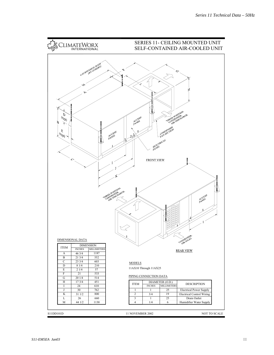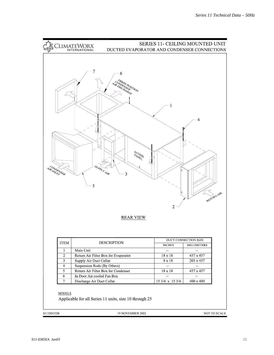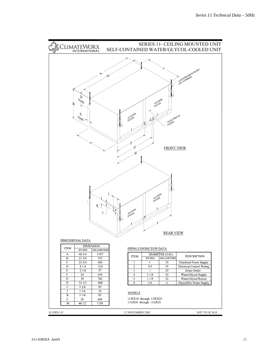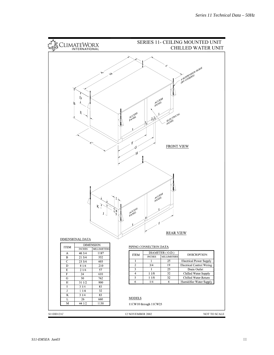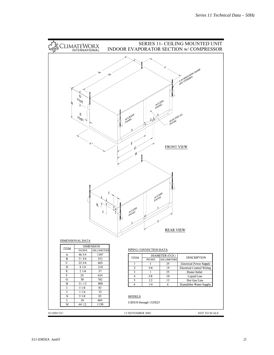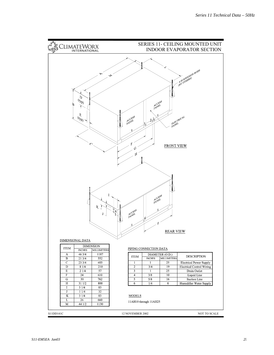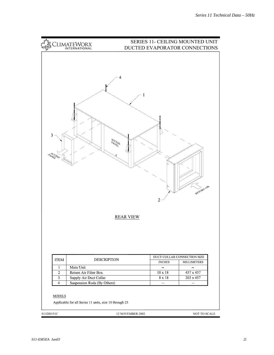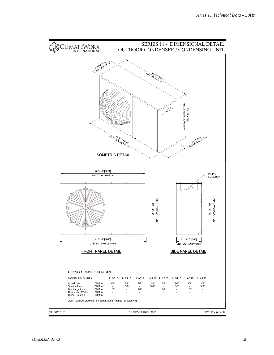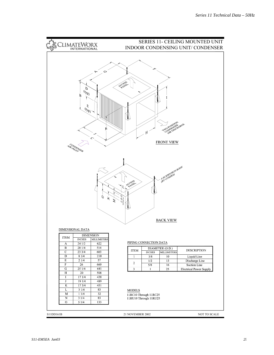